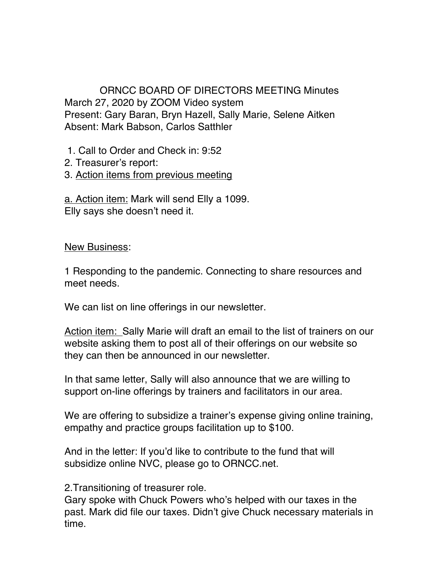## ORNCC BOARD OF DIRECTORS MEETING Minutes March 27, 2020 by ZOOM Video system Present: Gary Baran, Bryn Hazell, Sally Marie, Selene Aitken Absent: Mark Babson, Carlos Satthler

1. Call to Order and Check in: 9:52

2. Treasurer's report:

## 3. Action items from previous meeting

a. Action item: Mark will send Elly a 1099. Elly says she doesn't need it.

New Business:

1 Responding to the pandemic. Connecting to share resources and meet needs.

We can list on line offerings in our newsletter.

Action item: Sally Marie will draft an email to the list of trainers on our website asking them to post all of their offerings on our website so they can then be announced in our newsletter.

In that same letter, Sally will also announce that we are willing to support on-line offerings by trainers and facilitators in our area.

We are offering to subsidize a trainer's expense giving online training, empathy and practice groups facilitation up to \$100.

And in the letter: If you'd like to contribute to the fund that will subsidize online NVC, please go to ORNCC.net.

2.Transitioning of treasurer role.

Gary spoke with Chuck Powers who's helped with our taxes in the past. Mark did file our taxes. Didn't give Chuck necessary materials in time.